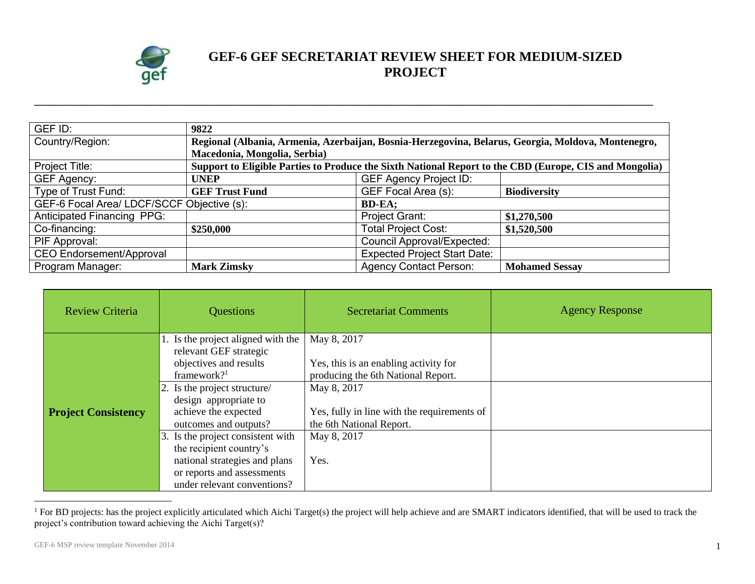

## **GEF-6 GEF SECRETARIAT REVIEW SHEET FOR MEDIUM-SIZED PROJECT**

| GEF ID:                                    | 9822                                                                                                   |                                     |                       |
|--------------------------------------------|--------------------------------------------------------------------------------------------------------|-------------------------------------|-----------------------|
| Country/Region:                            | Regional (Albania, Armenia, Azerbaijan, Bosnia-Herzegovina, Belarus, Georgia, Moldova, Montenegro,     |                                     |                       |
|                                            | Macedonia, Mongolia, Serbia)                                                                           |                                     |                       |
| Project Title:                             | Support to Eligible Parties to Produce the Sixth National Report to the CBD (Europe, CIS and Mongolia) |                                     |                       |
| <b>GEF Agency:</b>                         | <b>UNEP</b>                                                                                            | <b>GEF Agency Project ID:</b>       |                       |
| Type of Trust Fund:                        | <b>GEF Trust Fund</b>                                                                                  | <b>GEF Focal Area (s):</b>          | <b>Biodiversity</b>   |
| GEF-6 Focal Area/ LDCF/SCCF Objective (s): |                                                                                                        | <b>BD-EA;</b>                       |                       |
| <b>Anticipated Financing PPG:</b>          |                                                                                                        | Project Grant:                      | \$1,270,500           |
| Co-financing:                              | \$250,000                                                                                              | <b>Total Project Cost:</b>          | \$1,520,500           |
| PIF Approval:                              |                                                                                                        | <b>Council Approval/Expected:</b>   |                       |
| <b>CEO Endorsement/Approval</b>            |                                                                                                        | <b>Expected Project Start Date:</b> |                       |
| Program Manager:                           | <b>Mark Zimsky</b>                                                                                     | <b>Agency Contact Person:</b>       | <b>Mohamed Sessay</b> |

**\_\_\_\_\_\_\_\_\_\_\_\_\_\_\_\_\_\_\_\_\_\_\_\_\_\_\_\_\_\_\_\_\_\_\_\_\_\_\_\_\_\_\_\_\_\_\_\_\_\_\_\_\_\_\_\_\_\_\_\_\_\_\_\_\_\_\_\_\_\_\_\_\_\_\_\_\_\_\_\_\_\_\_\_\_\_\_\_\_\_\_\_\_\_\_\_\_\_\_\_\_\_\_\_\_\_\_\_\_\_\_\_\_\_\_\_\_\_**

| <b>Review Criteria</b>     | <b>Questions</b>                                                                                                                                                                                                                                        | <b>Secretariat Comments</b>                                                                                                                                                                         | <b>Agency Response</b> |
|----------------------------|---------------------------------------------------------------------------------------------------------------------------------------------------------------------------------------------------------------------------------------------------------|-----------------------------------------------------------------------------------------------------------------------------------------------------------------------------------------------------|------------------------|
| <b>Project Consistency</b> | 1. Is the project aligned with the<br>relevant GEF strategic<br>objectives and results<br>framework? $1$<br>2. Is the project structure/<br>design appropriate to<br>achieve the expected<br>outcomes and outputs?<br>3. Is the project consistent with | May 8, 2017<br>Yes, this is an enabling activity for<br>producing the 6th National Report.<br>May 8, 2017<br>Yes, fully in line with the requirements of<br>the 6th National Report.<br>May 8, 2017 |                        |
|                            | the recipient country's<br>national strategies and plans<br>or reports and assessments<br>under relevant conventions?                                                                                                                                   | Yes.                                                                                                                                                                                                |                        |

<sup>&</sup>lt;sup>1</sup> For BD projects: has the project explicitly articulated which Aichi Target(s) the project will help achieve and are SMART indicators identified, that will be used to track the project's contribution toward achieving the Aichi Target(s)?

 $\overline{a}$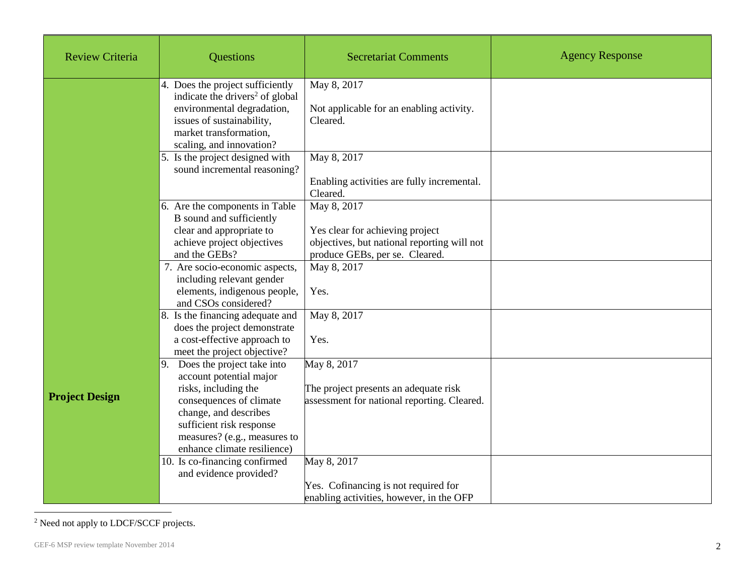| <b>Review Criteria</b> | <b>Questions</b>                                                                                                                                                                                                                | <b>Secretariat Comments</b>                                                                                                     | <b>Agency Response</b> |
|------------------------|---------------------------------------------------------------------------------------------------------------------------------------------------------------------------------------------------------------------------------|---------------------------------------------------------------------------------------------------------------------------------|------------------------|
|                        | 4. Does the project sufficiently<br>indicate the drivers <sup>2</sup> of global<br>environmental degradation,<br>issues of sustainability,<br>market transformation,<br>scaling, and innovation?                                | May 8, 2017<br>Not applicable for an enabling activity.<br>Cleared.                                                             |                        |
|                        | 5. Is the project designed with<br>sound incremental reasoning?                                                                                                                                                                 | May 8, 2017<br>Enabling activities are fully incremental.<br>Cleared.                                                           |                        |
|                        | 6. Are the components in Table<br>B sound and sufficiently<br>clear and appropriate to<br>achieve project objectives<br>and the GEBs?                                                                                           | May 8, 2017<br>Yes clear for achieving project<br>objectives, but national reporting will not<br>produce GEBs, per se. Cleared. |                        |
|                        | 7. Are socio-economic aspects,<br>including relevant gender<br>elements, indigenous people,<br>and CSOs considered?                                                                                                             | May 8, 2017<br>Yes.<br>May 8, 2017                                                                                              |                        |
|                        | Is the financing adequate and<br>8.<br>does the project demonstrate<br>a cost-effective approach to<br>meet the project objective?                                                                                              | Yes.                                                                                                                            |                        |
| <b>Project Design</b>  | 9. Does the project take into<br>account potential major<br>risks, including the<br>consequences of climate<br>change, and describes<br>sufficient risk response<br>measures? (e.g., measures to<br>enhance climate resilience) | May 8, 2017<br>The project presents an adequate risk<br>assessment for national reporting. Cleared.                             |                        |
|                        | 10. Is co-financing confirmed<br>and evidence provided?                                                                                                                                                                         | May 8, 2017<br>Yes. Cofinancing is not required for<br>enabling activities, however, in the OFP                                 |                        |

<sup>&</sup>lt;sup>2</sup> Need not apply to LDCF/SCCF projects.

 $\overline{a}$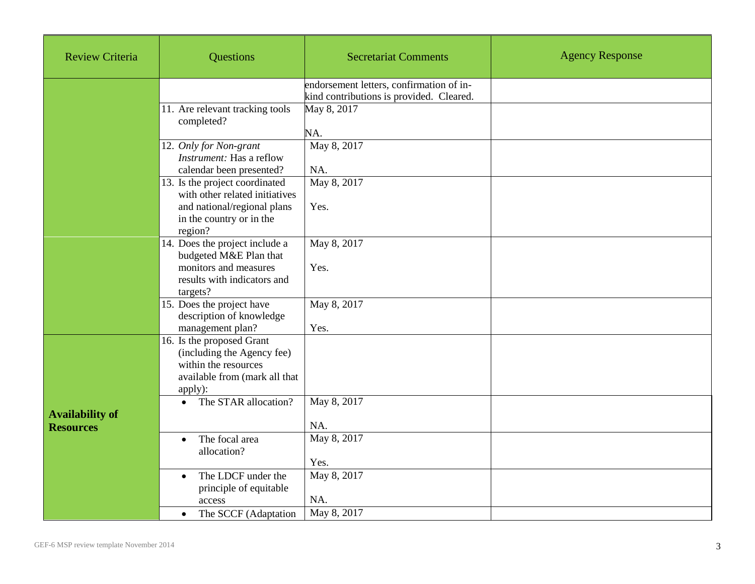| <b>Review Criteria</b>                     | Questions                                                                                                                   | <b>Secretariat Comments</b>                                                          | <b>Agency Response</b> |
|--------------------------------------------|-----------------------------------------------------------------------------------------------------------------------------|--------------------------------------------------------------------------------------|------------------------|
|                                            |                                                                                                                             | endorsement letters, confirmation of in-<br>kind contributions is provided. Cleared. |                        |
|                                            | 11. Are relevant tracking tools<br>completed?                                                                               | May 8, 2017                                                                          |                        |
|                                            | 12. Only for Non-grant<br>Instrument: Has a reflow                                                                          | NA.<br>May 8, 2017                                                                   |                        |
|                                            | calendar been presented?<br>13. Is the project coordinated                                                                  | NA.<br>May 8, 2017                                                                   |                        |
|                                            | with other related initiatives                                                                                              |                                                                                      |                        |
|                                            | and national/regional plans<br>in the country or in the<br>region?                                                          | Yes.                                                                                 |                        |
|                                            | 14. Does the project include a<br>budgeted M&E Plan that                                                                    | May 8, 2017                                                                          |                        |
|                                            | monitors and measures<br>results with indicators and<br>targets?                                                            | Yes.                                                                                 |                        |
|                                            | 15. Does the project have<br>description of knowledge<br>management plan?                                                   | May 8, 2017<br>Yes.                                                                  |                        |
|                                            | 16. Is the proposed Grant<br>(including the Agency fee)<br>within the resources<br>available from (mark all that<br>apply): |                                                                                      |                        |
| <b>Availability of</b><br><b>Resources</b> | The STAR allocation?<br>$\bullet$                                                                                           | May 8, 2017<br>NA.                                                                   |                        |
|                                            | The focal area<br>$\bullet$<br>allocation?                                                                                  | May 8, 2017<br>Yes.                                                                  |                        |
|                                            | The LDCF under the<br>$\bullet$<br>principle of equitable<br>access                                                         | May 8, 2017<br>NA.                                                                   |                        |
|                                            | The SCCF (Adaptation<br>$\bullet$                                                                                           | May 8, 2017                                                                          |                        |